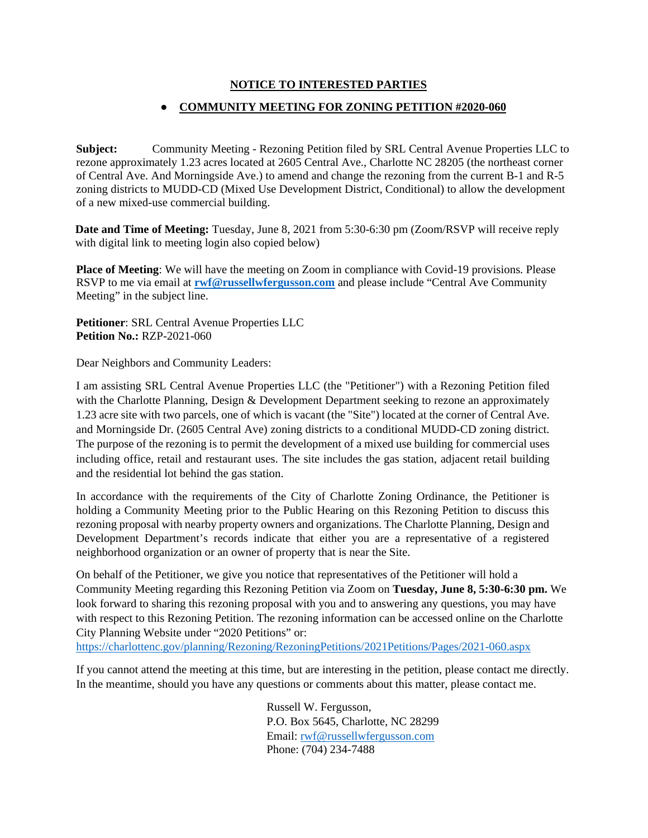## **NOTICE TO INTERESTED PARTIES**

## ● **COMMUNITY MEETING FOR ZONING PETITION #2020-060**

**Subject:** Community Meeting - Rezoning Petition filed by SRL Central Avenue Properties LLC to rezone approximately 1.23 acres located at 2605 Central Ave., Charlotte NC 28205 (the northeast corner of Central Ave. And Morningside Ave.) to amend and change the rezoning from the current B-1 and R-5 zoning districts to MUDD-CD (Mixed Use Development District, Conditional) to allow the development of a new mixed-use commercial building.

**Date and Time of Meeting:** Tuesday, June 8, 2021 from 5:30-6:30 pm (Zoom/RSVP will receive reply with digital link to meeting login also copied below)

**Place of Meeting**: We will have the meeting on Zoom in compliance with Covid-19 provisions. Please RSVP to me via email at **[rwf@russellwfergusson.com](mailto:rwf@russellwfergusson.com)** and please include "Central Ave Community Meeting" in the subject line.

**Petitioner**: SRL Central Avenue Properties LLC **Petition No.:** RZP-2021-060

Dear Neighbors and Community Leaders:

I am assisting SRL Central Avenue Properties LLC (the "Petitioner") with a Rezoning Petition filed with the Charlotte Planning, Design & Development Department seeking to rezone an approximately 1.23 acre site with two parcels, one of which is vacant (the "Site") located at the corner of Central Ave. and Morningside Dr. (2605 Central Ave) zoning districts to a conditional MUDD-CD zoning district. The purpose of the rezoning is to permit the development of a mixed use building for commercial uses including office, retail and restaurant uses. The site includes the gas station, adjacent retail building and the residential lot behind the gas station.

In accordance with the requirements of the City of Charlotte Zoning Ordinance, the Petitioner is holding a Community Meeting prior to the Public Hearing on this Rezoning Petition to discuss this rezoning proposal with nearby property owners and organizations. The Charlotte Planning, Design and Development Department's records indicate that either you are a representative of a registered neighborhood organization or an owner of property that is near the Site.

On behalf of the Petitioner, we give you notice that representatives of the Petitioner will hold a Community Meeting regarding this Rezoning Petition via Zoom on **Tuesday, June 8, 5:30-6:30 pm.** We look forward to sharing this rezoning proposal with you and to answering any questions, you may have with respect to this Rezoning Petition. The rezoning information can be accessed online on the Charlotte City Planning Website under "2020 Petitions" or:

<https://charlottenc.gov/planning/Rezoning/RezoningPetitions/2021Petitions/Pages/2021-060.aspx>

If you cannot attend the meeting at this time, but are interesting in the petition, please contact me directly. In the meantime, should you have any questions or comments about this matter, please contact me.

> Russell W. Fergusson, P.O. Box 5645, Charlotte, NC 28299 Email: [rwf@russellwfergusson.com](mailto:rwf@russellwfergusson.com) Phone: (704) 234-7488